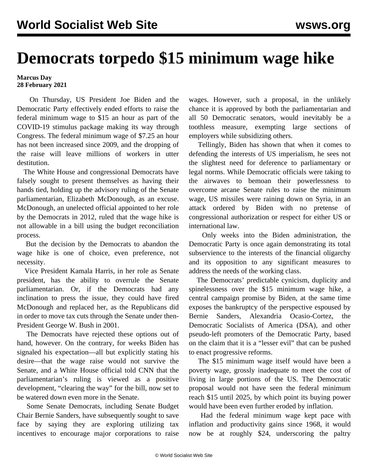## **Democrats torpedo \$15 minimum wage hike**

## **Marcus Day 28 February 2021**

 On Thursday, US President Joe Biden and the Democratic Party effectively ended efforts to raise the federal minimum wage to \$15 an hour as part of the COVID-19 stimulus package making its way through Congress. The federal minimum wage of \$7.25 an hour has not been increased since 2009, and the dropping of the raise will leave millions of workers in utter destitution.

 The White House and congressional Democrats have falsely sought to present themselves as having their hands tied, holding up the advisory ruling of the Senate parliamentarian, Elizabeth McDonough, as an excuse. McDonough, an unelected official appointed to her role by the Democrats in 2012, ruled that the wage hike is not allowable in a bill using the budget reconciliation process.

 But the decision by the Democrats to abandon the wage hike is one of choice, even preference, not necessity.

 Vice President Kamala Harris, in her role as Senate president, has the ability to overrule the Senate parliamentarian. Or, if the Democrats had any inclination to press the issue, they could have fired McDonough and replaced her, as the Republicans did in order to move tax cuts through the Senate under then-President George W. Bush in 2001.

 The Democrats have rejected these options out of hand, however. On the contrary, for weeks Biden has signaled his expectation—all but explicitly stating his desire—that the wage raise would not survive the Senate, and a White House official told CNN that the parliamentarian's ruling is viewed as a positive development, "clearing the way" for the bill, now set to be watered down even more in the Senate.

 Some Senate Democrats, including Senate Budget Chair Bernie Sanders, have subsequently sought to save face by saying they are exploring utilizing tax incentives to encourage major corporations to raise wages. However, such a proposal, in the unlikely chance it is approved by both the parliamentarian and all 50 Democratic senators, would inevitably be a toothless measure, exempting large sections of employers while subsidizing others.

 Tellingly, Biden has shown that when it comes to defending the interests of US imperialism, he sees not the slightest need for deference to parliamentary or legal norms. While Democratic officials were taking to the airwaves to bemoan their powerlessness to overcome arcane Senate rules to raise the minimum wage, US missiles were raining down on Syria, in an attack ordered by Biden with no pretense of congressional authorization or respect for either US or international law.

 Only weeks into the Biden administration, the Democratic Party is once again demonstrating its total subservience to the interests of the financial oligarchy and its opposition to any significant measures to address the needs of the working class.

 The Democrats' predictable cynicism, duplicity and spinelessness over the \$15 minimum wage hike, a central campaign promise by Biden, at the same time exposes the bankruptcy of the perspective espoused by Bernie Sanders, Alexandria Ocasio-Cortez, the Democratic Socialists of America (DSA), and other pseudo-left promoters of the Democratic Party, based on the claim that it is a "lesser evil" that can be pushed to enact progressive reforms.

 The \$15 minimum wage itself would have been a poverty wage, grossly inadequate to meet the cost of living in large portions of the US. The Democratic proposal would not have seen the federal minimum reach \$15 until 2025, by which point its buying power would have been even further eroded by inflation.

 Had the federal minimum wage kept pace with inflation and productivity gains since 1968, it would now be at roughly \$24, underscoring the paltry